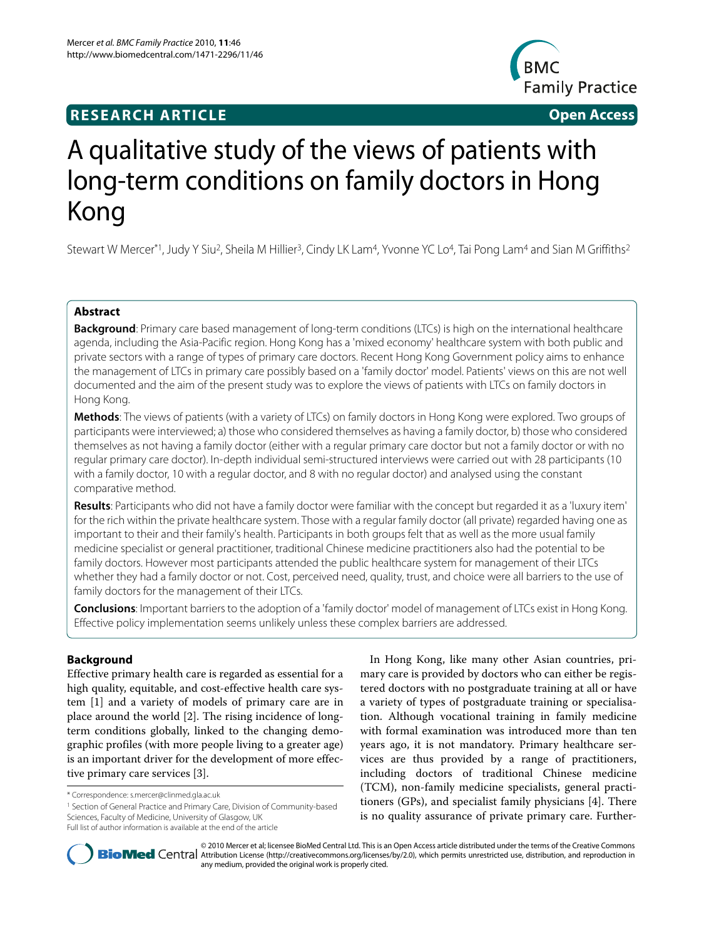## **RESEARCH ARTICLE Open Access**



# A qualitative study of the views of patients with long-term conditions on family doctors in Hong Kong

Stewart W Mercer<sup>\*1</sup>, Judy Y Siu<sup>2</sup>, Sheila M Hillier<sup>3</sup>, Cindy LK Lam<sup>4</sup>, Yvonne YC Lo<sup>4</sup>, Tai Pong Lam<sup>4</sup> and Sian M Griffiths<sup>2</sup>

## **Abstract**

**Background**: Primary care based management of long-term conditions (LTCs) is high on the international healthcare agenda, including the Asia-Pacific region. Hong Kong has a 'mixed economy' healthcare system with both public and private sectors with a range of types of primary care doctors. Recent Hong Kong Government policy aims to enhance the management of LTCs in primary care possibly based on a 'family doctor' model. Patients' views on this are not well documented and the aim of the present study was to explore the views of patients with LTCs on family doctors in Hong Kong.

**Methods**: The views of patients (with a variety of LTCs) on family doctors in Hong Kong were explored. Two groups of participants were interviewed; a) those who considered themselves as having a family doctor, b) those who considered themselves as not having a family doctor (either with a regular primary care doctor but not a family doctor or with no regular primary care doctor). In-depth individual semi-structured interviews were carried out with 28 participants (10 with a family doctor, 10 with a regular doctor, and 8 with no regular doctor) and analysed using the constant comparative method.

**Results**: Participants who did not have a family doctor were familiar with the concept but regarded it as a 'luxury item' for the rich within the private healthcare system. Those with a regular family doctor (all private) regarded having one as important to their and their family's health. Participants in both groups felt that as well as the more usual family medicine specialist or general practitioner, traditional Chinese medicine practitioners also had the potential to be family doctors. However most participants attended the public healthcare system for management of their LTCs whether they had a family doctor or not. Cost, perceived need, quality, trust, and choice were all barriers to the use of family doctors for the management of their LTCs.

**Conclusions**: Important barriers to the adoption of a 'family doctor' model of management of LTCs exist in Hong Kong. Effective policy implementation seems unlikely unless these complex barriers are addressed.

## **Background**

Effective primary health care is regarded as essential for a high quality, equitable, and cost-effective health care system [[1\]](#page-10-0) and a variety of models of primary care are in place around the world [\[2](#page-10-1)]. The rising incidence of longterm conditions globally, linked to the changing demographic profiles (with more people living to a greater age) is an important driver for the development of more effective primary care services [\[3](#page-10-2)].

<sup>1</sup> Section of General Practice and Primary Care, Division of Community-based Sciences, Faculty of Medicine, University of Glasgow, UK

In Hong Kong, like many other Asian countries, primary care is provided by doctors who can either be registered doctors with no postgraduate training at all or have a variety of types of postgraduate training or specialisation. Although vocational training in family medicine with formal examination was introduced more than ten years ago, it is not mandatory. Primary healthcare services are thus provided by a range of practitioners, including doctors of traditional Chinese medicine (TCM), non-family medicine specialists, general practitioners (GPs), and specialist family physicians [[4\]](#page-10-3). There is no quality assurance of private primary care. Further-



© 2010 Mercer et al; licensee BioMed Central Ltd. This is an Open Access article distributed under the terms of the Creative Commons Bio Med Central Attribution License (http://creativecommons.org/licenses/by/2.0), which permits unrestricted use, distribution, and reproduction in any medium, provided the original work is properly cited.

<sup>\*</sup> Correspondence: s.mercer@clinmed.gla.ac.uk

Full list of author information is available at the end of the article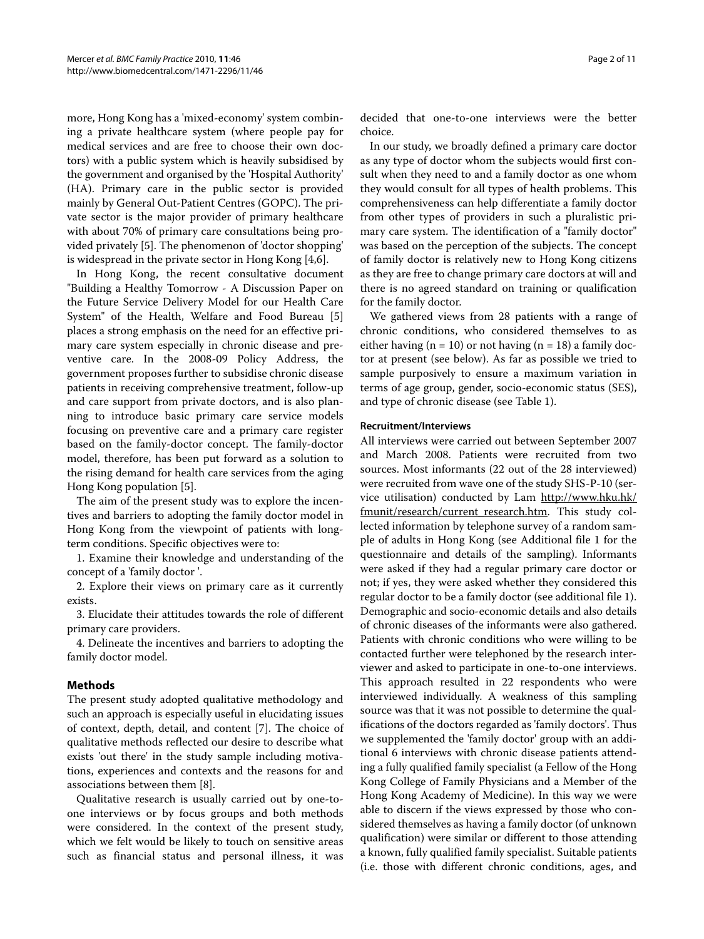more, Hong Kong has a 'mixed-economy' system combining a private healthcare system (where people pay for medical services and are free to choose their own doctors) with a public system which is heavily subsidised by the government and organised by the 'Hospital Authority' (HA). Primary care in the public sector is provided mainly by General Out-Patient Centres (GOPC). The private sector is the major provider of primary healthcare with about 70% of primary care consultations being provided privately [\[5\]](#page-10-4). The phenomenon of 'doctor shopping' is widespread in the private sector in Hong Kong [[4,](#page-10-3)[6\]](#page-10-5).

In Hong Kong, the recent consultative document "Building a Healthy Tomorrow - A Discussion Paper on the Future Service Delivery Model for our Health Care System" of the Health, Welfare and Food Bureau [\[5](#page-10-4)] places a strong emphasis on the need for an effective primary care system especially in chronic disease and preventive care. In the 2008-09 Policy Address, the government proposes further to subsidise chronic disease patients in receiving comprehensive treatment, follow-up and care support from private doctors, and is also planning to introduce basic primary care service models focusing on preventive care and a primary care register based on the family-doctor concept. The family-doctor model, therefore, has been put forward as a solution to the rising demand for health care services from the aging Hong Kong population [[5\]](#page-10-4).

The aim of the present study was to explore the incentives and barriers to adopting the family doctor model in Hong Kong from the viewpoint of patients with longterm conditions. Specific objectives were to:

1. Examine their knowledge and understanding of the concept of a 'family doctor '.

2. Explore their views on primary care as it currently exists.

3. Elucidate their attitudes towards the role of different primary care providers.

4. Delineate the incentives and barriers to adopting the family doctor model.

### **Methods**

The present study adopted qualitative methodology and such an approach is especially useful in elucidating issues of context, depth, detail, and content [[7\]](#page-10-6). The choice of qualitative methods reflected our desire to describe what exists 'out there' in the study sample including motivations, experiences and contexts and the reasons for and associations between them [[8\]](#page-10-7).

Qualitative research is usually carried out by one-toone interviews or by focus groups and both methods were considered. In the context of the present study, which we felt would be likely to touch on sensitive areas such as financial status and personal illness, it was

decided that one-to-one interviews were the better choice.

In our study, we broadly defined a primary care doctor as any type of doctor whom the subjects would first consult when they need to and a family doctor as one whom they would consult for all types of health problems. This comprehensiveness can help differentiate a family doctor from other types of providers in such a pluralistic primary care system. The identification of a "family doctor" was based on the perception of the subjects. The concept of family doctor is relatively new to Hong Kong citizens as they are free to change primary care doctors at will and there is no agreed standard on training or qualification for the family doctor.

We gathered views from 28 patients with a range of chronic conditions, who considered themselves to as either having ( $n = 10$ ) or not having ( $n = 18$ ) a family doctor at present (see below). As far as possible we tried to sample purposively to ensure a maximum variation in terms of age group, gender, socio-economic status (SES), and type of chronic disease (see Table [1](#page-2-0)).

#### **Recruitment/Interviews**

All interviews were carried out between September 2007 and March 2008. Patients were recruited from two sources. Most informants (22 out of the 28 interviewed) were recruited from wave one of the study SHS-P-10 (service utilisation) conducted by Lam [http://www.hku.hk/](http://www.hku.hk/fmunit/research/current_research.htm) [fmunit/research/current\\_research.htm.](http://www.hku.hk/fmunit/research/current_research.htm) This study collected information by telephone survey of a random sample of adults in Hong Kong (see Additional file [1](#page-9-0) for the questionnaire and details of the sampling). Informants were asked if they had a regular primary care doctor or not; if yes, they were asked whether they considered this regular doctor to be a family doctor (see additional file [1](#page-9-0)). Demographic and socio-economic details and also details of chronic diseases of the informants were also gathered. Patients with chronic conditions who were willing to be contacted further were telephoned by the research interviewer and asked to participate in one-to-one interviews. This approach resulted in 22 respondents who were interviewed individually. A weakness of this sampling source was that it was not possible to determine the qualifications of the doctors regarded as 'family doctors'. Thus we supplemented the 'family doctor' group with an additional 6 interviews with chronic disease patients attending a fully qualified family specialist (a Fellow of the Hong Kong College of Family Physicians and a Member of the Hong Kong Academy of Medicine). In this way we were able to discern if the views expressed by those who considered themselves as having a family doctor (of unknown qualification) were similar or different to those attending a known, fully qualified family specialist. Suitable patients (i.e. those with different chronic conditions, ages, and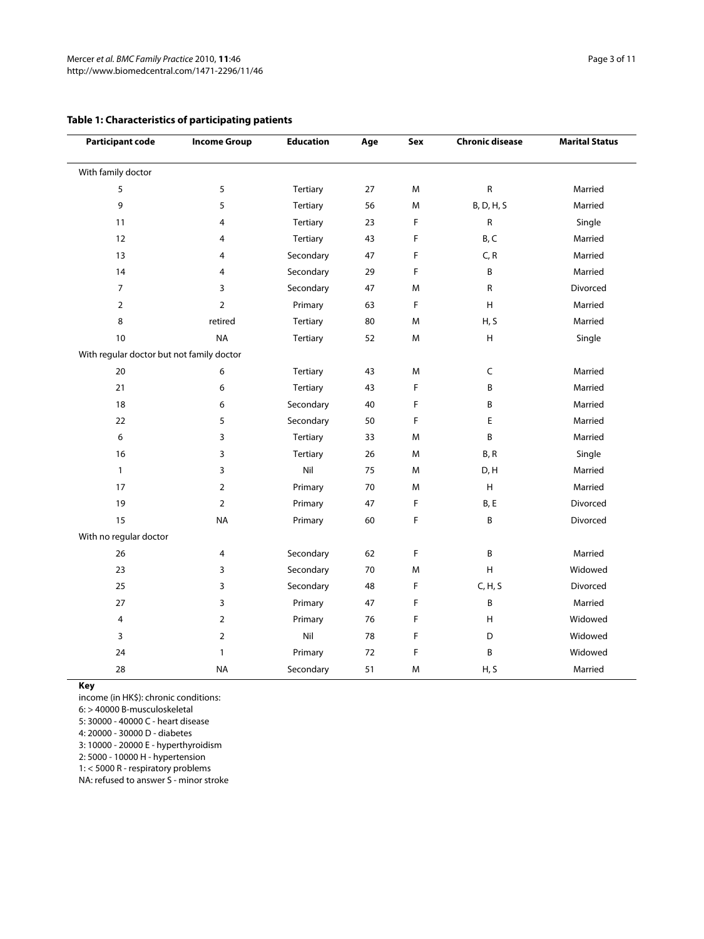| <b>Participant code</b>                   | <b>Income Group</b> | <b>Education</b> | Age | Sex | <b>Chronic disease</b> | <b>Marital Status</b> |
|-------------------------------------------|---------------------|------------------|-----|-----|------------------------|-----------------------|
| With family doctor                        |                     |                  |     |     |                        |                       |
| 5                                         | 5                   | Tertiary         | 27  | M   | ${\sf R}$              | Married               |
| 9                                         | 5                   | Tertiary         | 56  | M   | B, D, H, S             | Married               |
| 11                                        | 4                   | Tertiary         | 23  | F   | ${\sf R}$              | Single                |
| 12                                        | $\overline{4}$      | Tertiary         | 43  | F   | B, C                   | Married               |
| 13                                        | $\overline{4}$      | Secondary        | 47  | F   | C, R                   | Married               |
| 14                                        | 4                   | Secondary        | 29  | F   | B                      | Married               |
| $\overline{7}$                            | 3                   | Secondary        | 47  | M   | $\mathsf{R}$           | Divorced              |
| $\overline{2}$                            | $\overline{2}$      | Primary          | 63  | F   | H                      | Married               |
| 8                                         | retired             | Tertiary         | 80  | M   | H, S                   | Married               |
| 10                                        | <b>NA</b>           | Tertiary         | 52  | M   | Н                      | Single                |
| With regular doctor but not family doctor |                     |                  |     |     |                        |                       |
| 20                                        | 6                   | Tertiary         | 43  | M   | $\mathsf C$            | Married               |
| 21                                        | 6                   | Tertiary         | 43  | F   | B                      | Married               |
| 18                                        | 6                   | Secondary        | 40  | F   | B                      | Married               |
| 22                                        | 5                   | Secondary        | 50  | F   | E                      | Married               |
| 6                                         | 3                   | Tertiary         | 33  | M   | B                      | Married               |
| 16                                        | 3                   | Tertiary         | 26  | M   | B, R                   | Single                |
| $\mathbf{1}$                              | 3                   | Nil              | 75  | M   | D, H                   | Married               |
| 17                                        | $\overline{2}$      | Primary          | 70  | M   | $\sf H$                | Married               |
| 19                                        | $\mathbf 2$         | Primary          | 47  | F   | B, E                   | Divorced              |
| 15                                        | <b>NA</b>           | Primary          | 60  | F   | B                      | Divorced              |
| With no regular doctor                    |                     |                  |     |     |                        |                       |
| 26                                        | 4                   | Secondary        | 62  | F   | B                      | Married               |
| 23                                        | 3                   | Secondary        | 70  | M   | H                      | Widowed               |
| 25                                        | 3                   | Secondary        | 48  | F   | C, H, S                | Divorced              |
| 27                                        | $\overline{3}$      | Primary          | 47  | F   | B                      | Married               |
| 4                                         | $\mathbf 2$         | Primary          | 76  | F   | H                      | Widowed               |
| 3                                         | $\overline{2}$      | Nil              | 78  | F   | D                      | Widowed               |
| 24                                        | $\mathbf{1}$        | Primary          | 72  | F   | B                      | Widowed               |
| 28                                        | <b>NA</b>           | Secondary        | 51  | M   | H, S                   | Married               |

## <span id="page-2-0"></span>**Table 1: Characteristics of participating patients**

## **Key**

income (in HK\$): chronic conditions:

6: > 40000 B-musculoskeletal

5: 30000 - 40000 C - heart disease

4: 20000 - 30000 D - diabetes

3: 10000 - 20000 E - hyperthyroidism

2: 5000 - 10000 H - hypertension

1: < 5000 R - respiratory problems

NA: refused to answer S - minor stroke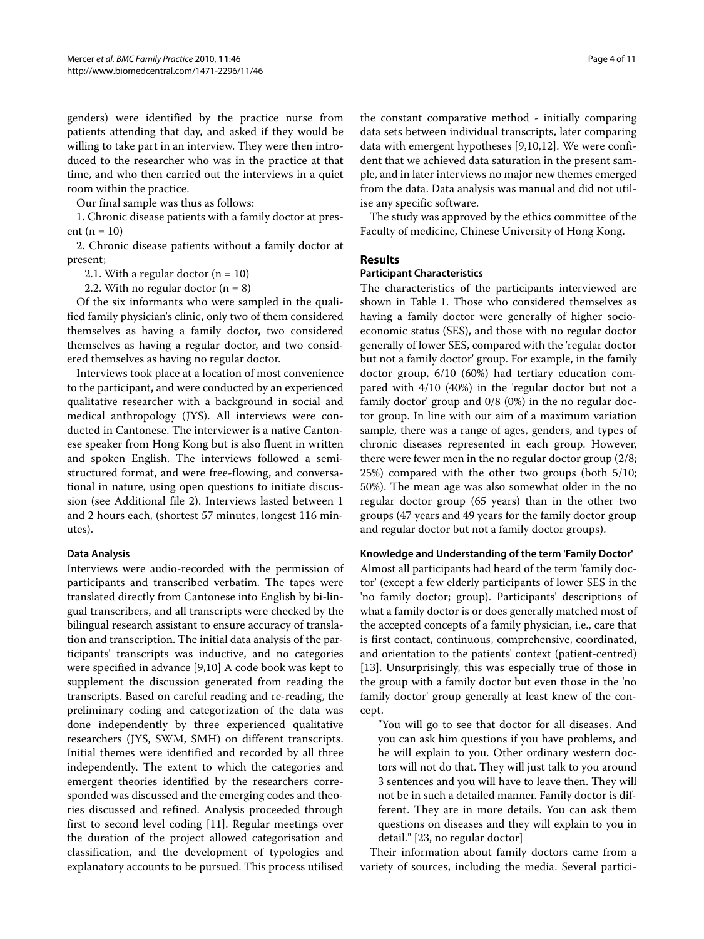genders) were identified by the practice nurse from patients attending that day, and asked if they would be willing to take part in an interview. They were then introduced to the researcher who was in the practice at that time, and who then carried out the interviews in a quiet room within the practice.

Our final sample was thus as follows:

1. Chronic disease patients with a family doctor at present ( $n = 10$ )

2. Chronic disease patients without a family doctor at present;

2.1. With a regular doctor  $(n = 10)$ 

2.2. With no regular doctor  $(n = 8)$ 

Of the six informants who were sampled in the qualified family physician's clinic, only two of them considered themselves as having a family doctor, two considered themselves as having a regular doctor, and two considered themselves as having no regular doctor.

Interviews took place at a location of most convenience to the participant, and were conducted by an experienced qualitative researcher with a background in social and medical anthropology (JYS). All interviews were conducted in Cantonese. The interviewer is a native Cantonese speaker from Hong Kong but is also fluent in written and spoken English. The interviews followed a semistructured format, and were free-flowing, and conversational in nature, using open questions to initiate discussion (see Additional file [2\)](#page-9-1). Interviews lasted between 1 and 2 hours each, (shortest 57 minutes, longest 116 minutes).

#### **Data Analysis**

Interviews were audio-recorded with the permission of participants and transcribed verbatim. The tapes were translated directly from Cantonese into English by bi-lingual transcribers, and all transcripts were checked by the bilingual research assistant to ensure accuracy of translation and transcription. The initial data analysis of the participants' transcripts was inductive, and no categories were specified in advance [[9,](#page-10-8)[10\]](#page-10-9) A code book was kept to supplement the discussion generated from reading the transcripts. Based on careful reading and re-reading, the preliminary coding and categorization of the data was done independently by three experienced qualitative researchers (JYS, SWM, SMH) on different transcripts. Initial themes were identified and recorded by all three independently. The extent to which the categories and emergent theories identified by the researchers corresponded was discussed and the emerging codes and theories discussed and refined. Analysis proceeded through first to second level coding [[11\]](#page-10-10). Regular meetings over the duration of the project allowed categorisation and classification, and the development of typologies and explanatory accounts to be pursued. This process utilised

the constant comparative method - initially comparing data sets between individual transcripts, later comparing data with emergent hypotheses [[9,](#page-10-8)[10,](#page-10-9)[12\]](#page-10-11). We were confident that we achieved data saturation in the present sample, and in later interviews no major new themes emerged from the data. Data analysis was manual and did not utilise any specific software.

The study was approved by the ethics committee of the Faculty of medicine, Chinese University of Hong Kong.

### **Results**

## **Participant Characteristics**

The characteristics of the participants interviewed are shown in Table 1. Those who considered themselves as having a family doctor were generally of higher socioeconomic status (SES), and those with no regular doctor generally of lower SES, compared with the 'regular doctor but not a family doctor' group. For example, in the family doctor group, 6/10 (60%) had tertiary education compared with 4/10 (40%) in the 'regular doctor but not a family doctor' group and 0/8 (0%) in the no regular doctor group. In line with our aim of a maximum variation sample, there was a range of ages, genders, and types of chronic diseases represented in each group. However, there were fewer men in the no regular doctor group (2/8; 25%) compared with the other two groups (both 5/10; 50%). The mean age was also somewhat older in the no regular doctor group (65 years) than in the other two groups (47 years and 49 years for the family doctor group and regular doctor but not a family doctor groups).

#### **Knowledge and Understanding of the term 'Family Doctor'**

Almost all participants had heard of the term 'family doctor' (except a few elderly participants of lower SES in the 'no family doctor; group). Participants' descriptions of what a family doctor is or does generally matched most of the accepted concepts of a family physician, i.e., care that is first contact, continuous, comprehensive, coordinated, and orientation to the patients' context (patient-centred) [[13\]](#page-10-12). Unsurprisingly, this was especially true of those in the group with a family doctor but even those in the 'no family doctor' group generally at least knew of the concept.

"You will go to see that doctor for all diseases. And you can ask him questions if you have problems, and he will explain to you. Other ordinary western doctors will not do that. They will just talk to you around 3 sentences and you will have to leave then. They will not be in such a detailed manner. Family doctor is different. They are in more details. You can ask them questions on diseases and they will explain to you in detail." [23, no regular doctor]

Their information about family doctors came from a variety of sources, including the media. Several partici-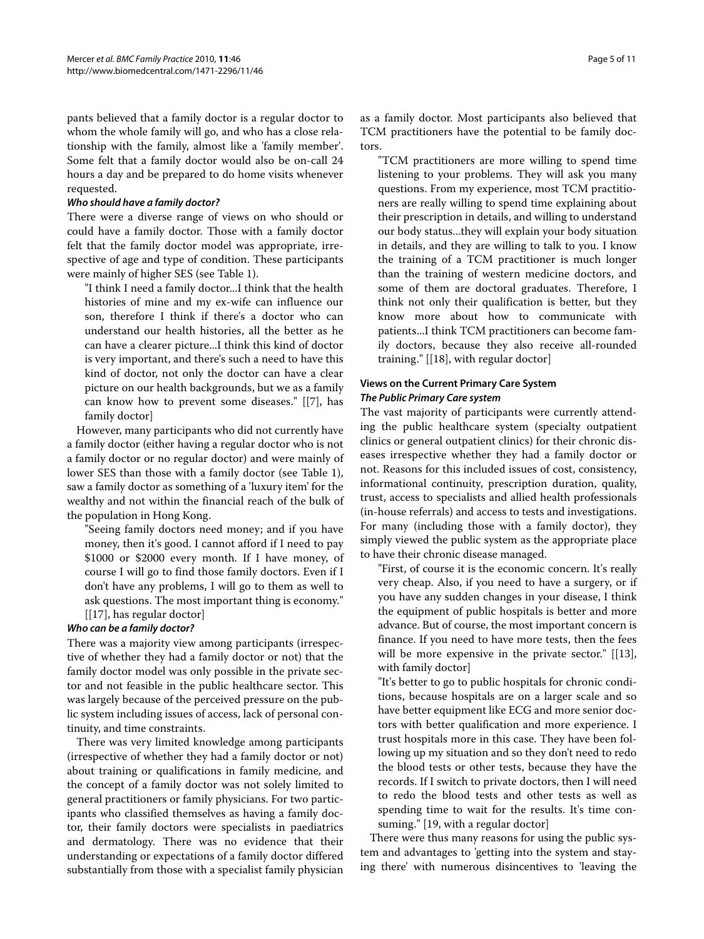pants believed that a family doctor is a regular doctor to whom the whole family will go, and who has a close relationship with the family, almost like a 'family member'. Some felt that a family doctor would also be on-call 24 hours a day and be prepared to do home visits whenever requested.

#### **Who should have a family doctor?**

There were a diverse range of views on who should or could have a family doctor. Those with a family doctor felt that the family doctor model was appropriate, irrespective of age and type of condition. These participants were mainly of higher SES (see Table [1](#page-2-0)).

"I think I need a family doctor...I think that the health histories of mine and my ex-wife can influence our son, therefore I think if there's a doctor who can understand our health histories, all the better as he can have a clearer picture...I think this kind of doctor is very important, and there's such a need to have this kind of doctor, not only the doctor can have a clear picture on our health backgrounds, but we as a family can know how to prevent some diseases." [[\[7](#page-10-6)], has family doctor]

However, many participants who did not currently have a family doctor (either having a regular doctor who is not a family doctor or no regular doctor) and were mainly of lower SES than those with a family doctor (see Table 1), saw a family doctor as something of a 'luxury item' for the wealthy and not within the financial reach of the bulk of the population in Hong Kong.

"Seeing family doctors need money; and if you have money, then it's good. I cannot afford if I need to pay \$1000 or \$2000 every month. If I have money, of course I will go to find those family doctors. Even if I don't have any problems, I will go to them as well to ask questions. The most important thing is economy." [[\[17\]](#page-10-13), has regular doctor]

### **Who can be a family doctor?**

There was a majority view among participants (irrespective of whether they had a family doctor or not) that the family doctor model was only possible in the private sector and not feasible in the public healthcare sector. This was largely because of the perceived pressure on the public system including issues of access, lack of personal continuity, and time constraints.

There was very limited knowledge among participants (irrespective of whether they had a family doctor or not) about training or qualifications in family medicine, and the concept of a family doctor was not solely limited to general practitioners or family physicians. For two participants who classified themselves as having a family doctor, their family doctors were specialists in paediatrics and dermatology. There was no evidence that their understanding or expectations of a family doctor differed substantially from those with a specialist family physician as a family doctor. Most participants also believed that TCM practitioners have the potential to be family doctors.

"TCM practitioners are more willing to spend time listening to your problems. They will ask you many questions. From my experience, most TCM practitioners are really willing to spend time explaining about their prescription in details, and willing to understand our body status...they will explain your body situation in details, and they are willing to talk to you. I know the training of a TCM practitioner is much longer than the training of western medicine doctors, and some of them are doctoral graduates. Therefore, I think not only their qualification is better, but they know more about how to communicate with patients...I think TCM practitioners can become family doctors, because they also receive all-rounded training." [[\[18](#page-10-14)], with regular doctor]

### **Views on the Current Primary Care System The Public Primary Care system**

The vast majority of participants were currently attending the public healthcare system (specialty outpatient clinics or general outpatient clinics) for their chronic diseases irrespective whether they had a family doctor or not. Reasons for this included issues of cost, consistency, informational continuity, prescription duration, quality, trust, access to specialists and allied health professionals (in-house referrals) and access to tests and investigations. For many (including those with a family doctor), they simply viewed the public system as the appropriate place to have their chronic disease managed.

"First, of course it is the economic concern. It's really very cheap. Also, if you need to have a surgery, or if you have any sudden changes in your disease, I think the equipment of public hospitals is better and more advance. But of course, the most important concern is finance. If you need to have more tests, then the fees will be more expensive in the private sector." [[\[13](#page-10-12)], with family doctor]

"It's better to go to public hospitals for chronic conditions, because hospitals are on a larger scale and so have better equipment like ECG and more senior doctors with better qualification and more experience. I trust hospitals more in this case. They have been following up my situation and so they don't need to redo the blood tests or other tests, because they have the records. If I switch to private doctors, then I will need to redo the blood tests and other tests as well as spending time to wait for the results. It's time consuming." [19, with a regular doctor]

There were thus many reasons for using the public system and advantages to 'getting into the system and staying there' with numerous disincentives to 'leaving the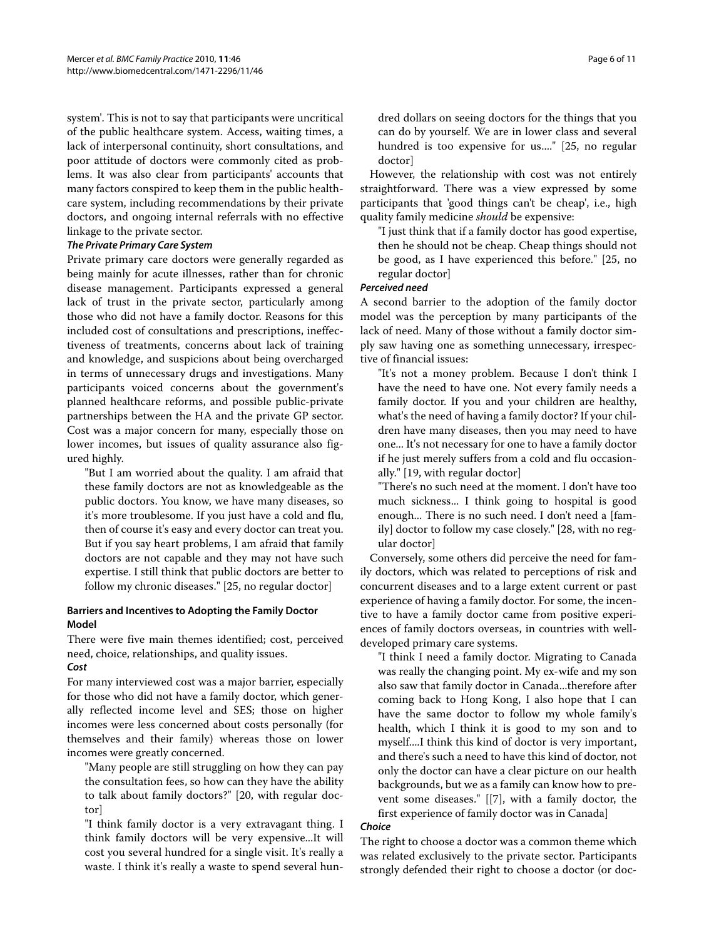system'. This is not to say that participants were uncritical of the public healthcare system. Access, waiting times, a lack of interpersonal continuity, short consultations, and poor attitude of doctors were commonly cited as problems. It was also clear from participants' accounts that many factors conspired to keep them in the public healthcare system, including recommendations by their private doctors, and ongoing internal referrals with no effective linkage to the private sector.

### **The Private Primary Care System**

Private primary care doctors were generally regarded as being mainly for acute illnesses, rather than for chronic disease management. Participants expressed a general lack of trust in the private sector, particularly among those who did not have a family doctor. Reasons for this included cost of consultations and prescriptions, ineffectiveness of treatments, concerns about lack of training and knowledge, and suspicions about being overcharged in terms of unnecessary drugs and investigations. Many participants voiced concerns about the government's planned healthcare reforms, and possible public-private partnerships between the HA and the private GP sector. Cost was a major concern for many, especially those on lower incomes, but issues of quality assurance also figured highly.

"But I am worried about the quality. I am afraid that these family doctors are not as knowledgeable as the public doctors. You know, we have many diseases, so it's more troublesome. If you just have a cold and flu, then of course it's easy and every doctor can treat you. But if you say heart problems, I am afraid that family doctors are not capable and they may not have such expertise. I still think that public doctors are better to follow my chronic diseases." [25, no regular doctor]

### **Barriers and Incentives to Adopting the Family Doctor Model**

There were five main themes identified; cost, perceived need, choice, relationships, and quality issues.

## **Cost**

For many interviewed cost was a major barrier, especially for those who did not have a family doctor, which generally reflected income level and SES; those on higher incomes were less concerned about costs personally (for themselves and their family) whereas those on lower incomes were greatly concerned.

"Many people are still struggling on how they can pay the consultation fees, so how can they have the ability to talk about family doctors?" [20, with regular doctor]

"I think family doctor is a very extravagant thing. I think family doctors will be very expensive...It will cost you several hundred for a single visit. It's really a waste. I think it's really a waste to spend several hundred dollars on seeing doctors for the things that you can do by yourself. We are in lower class and several hundred is too expensive for us...." [25, no regular doctor]

However, the relationship with cost was not entirely straightforward. There was a view expressed by some participants that 'good things can't be cheap', i.e., high quality family medicine *should* be expensive:

"I just think that if a family doctor has good expertise, then he should not be cheap. Cheap things should not be good, as I have experienced this before." [25, no regular doctor]

### **Perceived need**

A second barrier to the adoption of the family doctor model was the perception by many participants of the lack of need. Many of those without a family doctor simply saw having one as something unnecessary, irrespective of financial issues:

"It's not a money problem. Because I don't think I have the need to have one. Not every family needs a family doctor. If you and your children are healthy, what's the need of having a family doctor? If your children have many diseases, then you may need to have one... It's not necessary for one to have a family doctor if he just merely suffers from a cold and flu occasionally." [19, with regular doctor]

"There's no such need at the moment. I don't have too much sickness... I think going to hospital is good enough... There is no such need. I don't need a [family] doctor to follow my case closely." [28, with no regular doctor]

Conversely, some others did perceive the need for family doctors, which was related to perceptions of risk and concurrent diseases and to a large extent current or past experience of having a family doctor. For some, the incentive to have a family doctor came from positive experiences of family doctors overseas, in countries with welldeveloped primary care systems.

"I think I need a family doctor. Migrating to Canada was really the changing point. My ex-wife and my son also saw that family doctor in Canada...therefore after coming back to Hong Kong, I also hope that I can have the same doctor to follow my whole family's health, which I think it is good to my son and to myself....I think this kind of doctor is very important, and there's such a need to have this kind of doctor, not only the doctor can have a clear picture on our health backgrounds, but we as a family can know how to prevent some diseases." [[[7\]](#page-10-6), with a family doctor, the first experience of family doctor was in Canada]

### **Choice**

The right to choose a doctor was a common theme which was related exclusively to the private sector. Participants strongly defended their right to choose a doctor (or doc-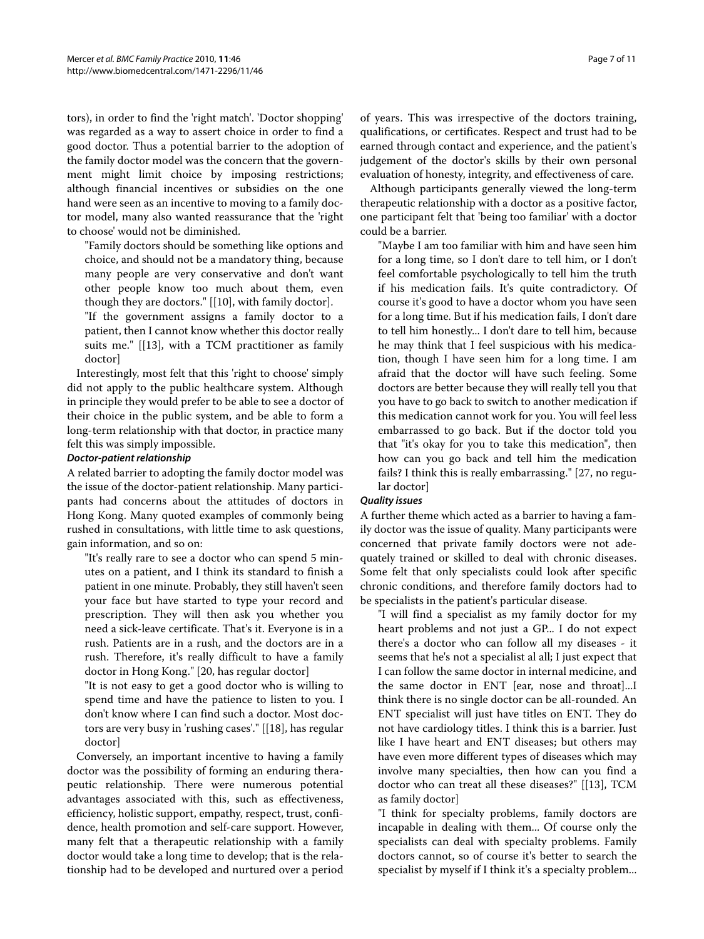tors), in order to find the 'right match'. 'Doctor shopping' was regarded as a way to assert choice in order to find a good doctor. Thus a potential barrier to the adoption of the family doctor model was the concern that the government might limit choice by imposing restrictions; although financial incentives or subsidies on the one hand were seen as an incentive to moving to a family doctor model, many also wanted reassurance that the 'right to choose' would not be diminished.

"Family doctors should be something like options and choice, and should not be a mandatory thing, because many people are very conservative and don't want other people know too much about them, even though they are doctors." [[\[10](#page-10-9)], with family doctor].

"If the government assigns a family doctor to a patient, then I cannot know whether this doctor really suits me." [[\[13](#page-10-12)], with a TCM practitioner as family doctor]

Interestingly, most felt that this 'right to choose' simply did not apply to the public healthcare system. Although in principle they would prefer to be able to see a doctor of their choice in the public system, and be able to form a long-term relationship with that doctor, in practice many felt this was simply impossible.

#### **Doctor-patient relationship**

A related barrier to adopting the family doctor model was the issue of the doctor-patient relationship. Many participants had concerns about the attitudes of doctors in Hong Kong. Many quoted examples of commonly being rushed in consultations, with little time to ask questions, gain information, and so on:

"It's really rare to see a doctor who can spend 5 minutes on a patient, and I think its standard to finish a patient in one minute. Probably, they still haven't seen your face but have started to type your record and prescription. They will then ask you whether you need a sick-leave certificate. That's it. Everyone is in a rush. Patients are in a rush, and the doctors are in a rush. Therefore, it's really difficult to have a family doctor in Hong Kong." [20, has regular doctor]

"It is not easy to get a good doctor who is willing to spend time and have the patience to listen to you. I don't know where I can find such a doctor. Most doctors are very busy in 'rushing cases'." [[[18\]](#page-10-14), has regular doctor]

Conversely, an important incentive to having a family doctor was the possibility of forming an enduring therapeutic relationship. There were numerous potential advantages associated with this, such as effectiveness, efficiency, holistic support, empathy, respect, trust, confidence, health promotion and self-care support. However, many felt that a therapeutic relationship with a family doctor would take a long time to develop; that is the relationship had to be developed and nurtured over a period

of years. This was irrespective of the doctors training, qualifications, or certificates. Respect and trust had to be earned through contact and experience, and the patient's judgement of the doctor's skills by their own personal evaluation of honesty, integrity, and effectiveness of care.

Although participants generally viewed the long-term therapeutic relationship with a doctor as a positive factor, one participant felt that 'being too familiar' with a doctor could be a barrier.

"Maybe I am too familiar with him and have seen him for a long time, so I don't dare to tell him, or I don't feel comfortable psychologically to tell him the truth if his medication fails. It's quite contradictory. Of course it's good to have a doctor whom you have seen for a long time. But if his medication fails, I don't dare to tell him honestly... I don't dare to tell him, because he may think that I feel suspicious with his medication, though I have seen him for a long time. I am afraid that the doctor will have such feeling. Some doctors are better because they will really tell you that you have to go back to switch to another medication if this medication cannot work for you. You will feel less embarrassed to go back. But if the doctor told you that "it's okay for you to take this medication", then how can you go back and tell him the medication fails? I think this is really embarrassing." [27, no regular doctor]

### **Quality issues**

A further theme which acted as a barrier to having a family doctor was the issue of quality. Many participants were concerned that private family doctors were not adequately trained or skilled to deal with chronic diseases. Some felt that only specialists could look after specific chronic conditions, and therefore family doctors had to be specialists in the patient's particular disease.

"I will find a specialist as my family doctor for my heart problems and not just a GP... I do not expect there's a doctor who can follow all my diseases - it seems that he's not a specialist al all; I just expect that I can follow the same doctor in internal medicine, and the same doctor in ENT [ear, nose and throat]...I think there is no single doctor can be all-rounded. An ENT specialist will just have titles on ENT. They do not have cardiology titles. I think this is a barrier. Just like I have heart and ENT diseases; but others may have even more different types of diseases which may involve many specialties, then how can you find a doctor who can treat all these diseases?" [[[13\]](#page-10-12), TCM as family doctor]

"I think for specialty problems, family doctors are incapable in dealing with them... Of course only the specialists can deal with specialty problems. Family doctors cannot, so of course it's better to search the specialist by myself if I think it's a specialty problem...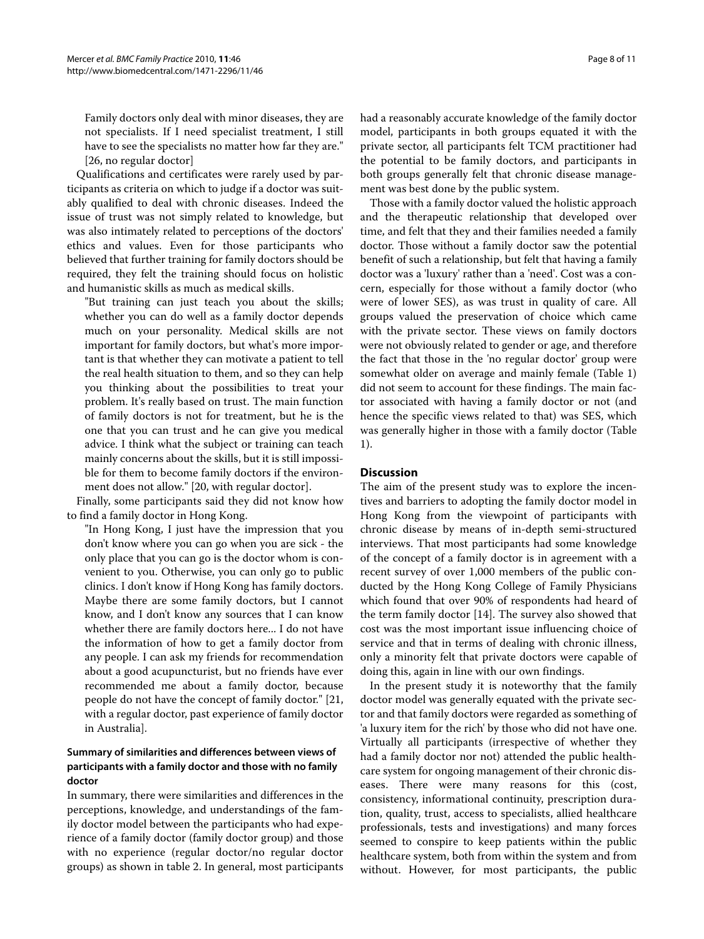Family doctors only deal with minor diseases, they are not specialists. If I need specialist treatment, I still have to see the specialists no matter how far they are." [26, no regular doctor]

Qualifications and certificates were rarely used by participants as criteria on which to judge if a doctor was suitably qualified to deal with chronic diseases. Indeed the issue of trust was not simply related to knowledge, but was also intimately related to perceptions of the doctors' ethics and values. Even for those participants who believed that further training for family doctors should be required, they felt the training should focus on holistic and humanistic skills as much as medical skills.

"But training can just teach you about the skills; whether you can do well as a family doctor depends much on your personality. Medical skills are not important for family doctors, but what's more important is that whether they can motivate a patient to tell the real health situation to them, and so they can help you thinking about the possibilities to treat your problem. It's really based on trust. The main function of family doctors is not for treatment, but he is the one that you can trust and he can give you medical advice. I think what the subject or training can teach mainly concerns about the skills, but it is still impossible for them to become family doctors if the environment does not allow." [20, with regular doctor].

Finally, some participants said they did not know how to find a family doctor in Hong Kong.

"In Hong Kong, I just have the impression that you don't know where you can go when you are sick - the only place that you can go is the doctor whom is convenient to you. Otherwise, you can only go to public clinics. I don't know if Hong Kong has family doctors. Maybe there are some family doctors, but I cannot know, and I don't know any sources that I can know whether there are family doctors here... I do not have the information of how to get a family doctor from any people. I can ask my friends for recommendation about a good acupuncturist, but no friends have ever recommended me about a family doctor, because people do not have the concept of family doctor." [21, with a regular doctor, past experience of family doctor in Australia].

## **Summary of similarities and differences between views of participants with a family doctor and those with no family doctor**

In summary, there were similarities and differences in the perceptions, knowledge, and understandings of the family doctor model between the participants who had experience of a family doctor (family doctor group) and those with no experience (regular doctor/no regular doctor groups) as shown in table [2](#page-8-0). In general, most participants had a reasonably accurate knowledge of the family doctor model, participants in both groups equated it with the private sector, all participants felt TCM practitioner had the potential to be family doctors, and participants in both groups generally felt that chronic disease management was best done by the public system.

Those with a family doctor valued the holistic approach and the therapeutic relationship that developed over time, and felt that they and their families needed a family doctor. Those without a family doctor saw the potential benefit of such a relationship, but felt that having a family doctor was a 'luxury' rather than a 'need'. Cost was a concern, especially for those without a family doctor (who were of lower SES), as was trust in quality of care. All groups valued the preservation of choice which came with the private sector. These views on family doctors were not obviously related to gender or age, and therefore the fact that those in the 'no regular doctor' group were somewhat older on average and mainly female (Table [1](#page-2-0)) did not seem to account for these findings. The main factor associated with having a family doctor or not (and hence the specific views related to that) was SES, which was generally higher in those with a family doctor (Table 1).

#### **Discussion**

The aim of the present study was to explore the incentives and barriers to adopting the family doctor model in Hong Kong from the viewpoint of participants with chronic disease by means of in-depth semi-structured interviews. That most participants had some knowledge of the concept of a family doctor is in agreement with a recent survey of over 1,000 members of the public conducted by the Hong Kong College of Family Physicians which found that over 90% of respondents had heard of the term family doctor [[14\]](#page-10-15). The survey also showed that cost was the most important issue influencing choice of service and that in terms of dealing with chronic illness, only a minority felt that private doctors were capable of doing this, again in line with our own findings.

In the present study it is noteworthy that the family doctor model was generally equated with the private sector and that family doctors were regarded as something of 'a luxury item for the rich' by those who did not have one. Virtually all participants (irrespective of whether they had a family doctor nor not) attended the public healthcare system for ongoing management of their chronic diseases. There were many reasons for this (cost, consistency, informational continuity, prescription duration, quality, trust, access to specialists, allied healthcare professionals, tests and investigations) and many forces seemed to conspire to keep patients within the public healthcare system, both from within the system and from without. However, for most participants, the public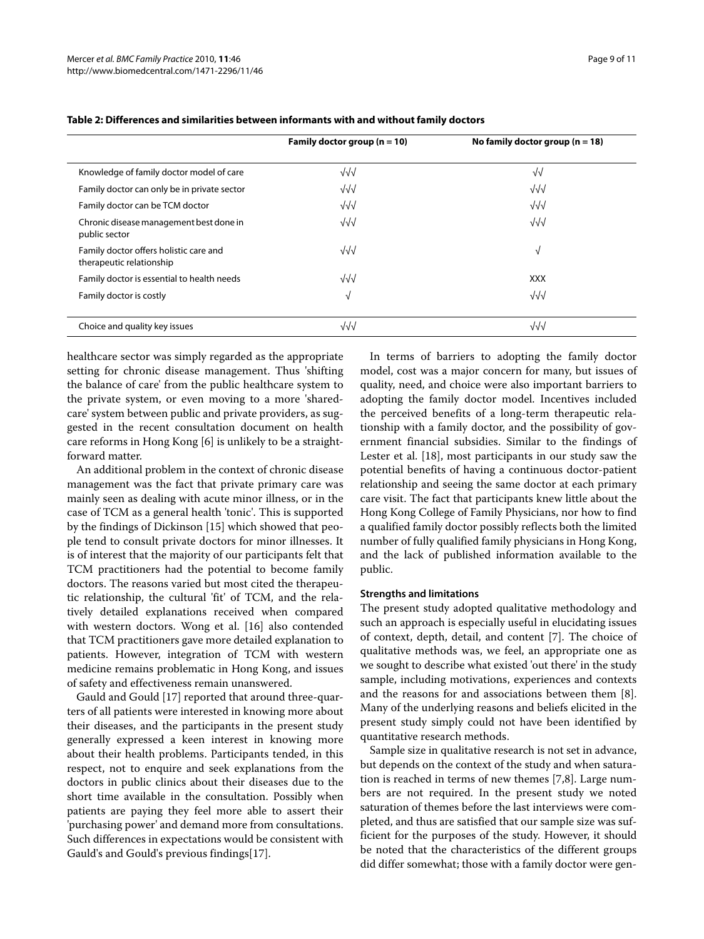|                                                                    | Family doctor group $(n = 10)$ | No family doctor group $(n = 18)$ |
|--------------------------------------------------------------------|--------------------------------|-----------------------------------|
| Knowledge of family doctor model of care                           | $\sqrt{d}$                     | $\sqrt{2}$                        |
| Family doctor can only be in private sector                        | $\sqrt{\sqrt{}}$               | $\sqrt{\sqrt{}}$                  |
| Family doctor can be TCM doctor                                    | $\sqrt{\sqrt{}}$               | $\sqrt{\sqrt{}}$                  |
| Chronic disease management best done in<br>public sector           | $\sqrt{d}$                     | $\sqrt{\sqrt{}}$                  |
| Family doctor offers holistic care and<br>therapeutic relationship | $\sqrt{d}$                     | √                                 |
| Family doctor is essential to health needs                         | $\sqrt{\sqrt{}}$               | <b>XXX</b>                        |
| Family doctor is costly                                            | $\sqrt{}$                      | $\sqrt{\sqrt{}}$                  |
| Choice and quality key issues                                      | $\sqrt{\sqrt{}}$               | $\sqrt{\sqrt{}}$                  |

<span id="page-8-0"></span>**Table 2: Differences and similarities between informants with and without family doctors**

healthcare sector was simply regarded as the appropriate setting for chronic disease management. Thus 'shifting the balance of care' from the public healthcare system to the private system, or even moving to a more 'sharedcare' system between public and private providers, as suggested in the recent consultation document on health care reforms in Hong Kong [[6\]](#page-10-5) is unlikely to be a straightforward matter.

An additional problem in the context of chronic disease management was the fact that private primary care was mainly seen as dealing with acute minor illness, or in the case of TCM as a general health 'tonic'. This is supported by the findings of Dickinson [\[15](#page-10-16)] which showed that people tend to consult private doctors for minor illnesses. It is of interest that the majority of our participants felt that TCM practitioners had the potential to become family doctors. The reasons varied but most cited the therapeutic relationship, the cultural 'fit' of TCM, and the relatively detailed explanations received when compared with western doctors. Wong et al. [\[16\]](#page-10-17) also contended that TCM practitioners gave more detailed explanation to patients. However, integration of TCM with western medicine remains problematic in Hong Kong, and issues of safety and effectiveness remain unanswered.

Gauld and Gould [\[17](#page-10-13)] reported that around three-quarters of all patients were interested in knowing more about their diseases, and the participants in the present study generally expressed a keen interest in knowing more about their health problems. Participants tended, in this respect, not to enquire and seek explanations from the doctors in public clinics about their diseases due to the short time available in the consultation. Possibly when patients are paying they feel more able to assert their 'purchasing power' and demand more from consultations. Such differences in expectations would be consistent with Gauld's and Gould's previous findings[[17\]](#page-10-13).

In terms of barriers to adopting the family doctor model, cost was a major concern for many, but issues of quality, need, and choice were also important barriers to adopting the family doctor model. Incentives included the perceived benefits of a long-term therapeutic relationship with a family doctor, and the possibility of government financial subsidies. Similar to the findings of Lester et al. [[18](#page-10-14)], most participants in our study saw the potential benefits of having a continuous doctor-patient relationship and seeing the same doctor at each primary care visit. The fact that participants knew little about the Hong Kong College of Family Physicians, nor how to find a qualified family doctor possibly reflects both the limited number of fully qualified family physicians in Hong Kong, and the lack of published information available to the public.

#### **Strengths and limitations**

The present study adopted qualitative methodology and such an approach is especially useful in elucidating issues of context, depth, detail, and content [\[7\]](#page-10-6). The choice of qualitative methods was, we feel, an appropriate one as we sought to describe what existed 'out there' in the study sample, including motivations, experiences and contexts and the reasons for and associations between them [\[8](#page-10-7)]. Many of the underlying reasons and beliefs elicited in the present study simply could not have been identified by quantitative research methods.

Sample size in qualitative research is not set in advance, but depends on the context of the study and when saturation is reached in terms of new themes [\[7](#page-10-6),[8](#page-10-7)]. Large numbers are not required. In the present study we noted saturation of themes before the last interviews were completed, and thus are satisfied that our sample size was sufficient for the purposes of the study. However, it should be noted that the characteristics of the different groups did differ somewhat; those with a family doctor were gen-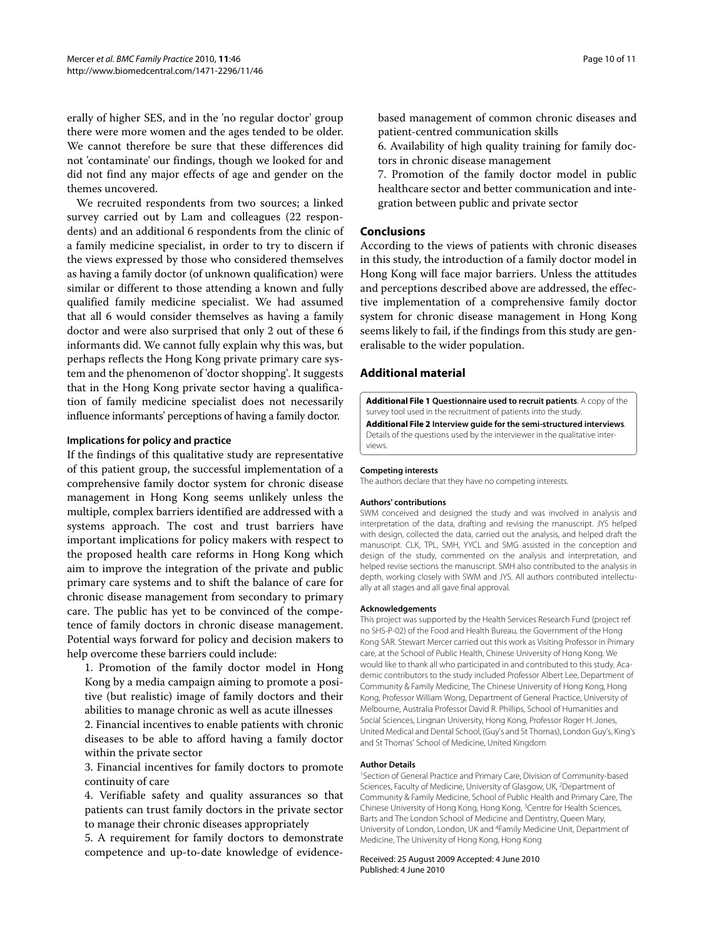erally of higher SES, and in the 'no regular doctor' group there were more women and the ages tended to be older. We cannot therefore be sure that these differences did not 'contaminate' our findings, though we looked for and did not find any major effects of age and gender on the themes uncovered.

We recruited respondents from two sources; a linked survey carried out by Lam and colleagues (22 respondents) and an additional 6 respondents from the clinic of a family medicine specialist, in order to try to discern if the views expressed by those who considered themselves as having a family doctor (of unknown qualification) were similar or different to those attending a known and fully qualified family medicine specialist. We had assumed that all 6 would consider themselves as having a family doctor and were also surprised that only 2 out of these 6 informants did. We cannot fully explain why this was, but perhaps reflects the Hong Kong private primary care system and the phenomenon of 'doctor shopping'. It suggests that in the Hong Kong private sector having a qualification of family medicine specialist does not necessarily influence informants' perceptions of having a family doctor.

#### **Implications for policy and practice**

If the findings of this qualitative study are representative of this patient group, the successful implementation of a comprehensive family doctor system for chronic disease management in Hong Kong seems unlikely unless the multiple, complex barriers identified are addressed with a systems approach. The cost and trust barriers have important implications for policy makers with respect to the proposed health care reforms in Hong Kong which aim to improve the integration of the private and public primary care systems and to shift the balance of care for chronic disease management from secondary to primary care. The public has yet to be convinced of the competence of family doctors in chronic disease management. Potential ways forward for policy and decision makers to help overcome these barriers could include:

1. Promotion of the family doctor model in Hong Kong by a media campaign aiming to promote a positive (but realistic) image of family doctors and their abilities to manage chronic as well as acute illnesses

2. Financial incentives to enable patients with chronic diseases to be able to afford having a family doctor within the private sector

3. Financial incentives for family doctors to promote continuity of care

4. Verifiable safety and quality assurances so that patients can trust family doctors in the private sector to manage their chronic diseases appropriately

5. A requirement for family doctors to demonstrate competence and up-to-date knowledge of evidencebased management of common chronic diseases and patient-centred communication skills

- 6. Availability of high quality training for family doctors in chronic disease management
- 7. Promotion of the family doctor model in public healthcare sector and better communication and integration between public and private sector

### **Conclusions**

According to the views of patients with chronic diseases in this study, the introduction of a family doctor model in Hong Kong will face major barriers. Unless the attitudes and perceptions described above are addressed, the effective implementation of a comprehensive family doctor system for chronic disease management in Hong Kong seems likely to fail, if the findings from this study are generalisable to the wider population.

#### **Additional material**

<span id="page-9-0"></span>**[Additional File 1](http://www.biomedcentral.com/content/supplementary/1471-2296-11-46-S1.DOC) Questionnaire used to recruit patients**. A copy of the survey tool used in the recruitment of patients into the study.

<span id="page-9-1"></span>**[Additional File 2](http://www.biomedcentral.com/content/supplementary/1471-2296-11-46-S2.DOC) Interview guide for the semi-structured interviews**. Details of the questions used by the interviewer in the qualitative interviews.

#### **Competing interests**

The authors declare that they have no competing interests.

#### **Authors' contributions**

SWM conceived and designed the study and was involved in analysis and interpretation of the data, drafting and revising the manuscript. JYS helped with design, collected the data, carried out the analysis, and helped draft the manuscript. CLK, TPL, SMH, YYCL and SMG assisted in the conception and design of the study, commented on the analysis and interpretation, and helped revise sections the manuscript. SMH also contributed to the analysis in depth, working closely with SWM and JYS. All authors contributed intellectually at all stages and all gave final approval.

#### **Acknowledgements**

This project was supported by the Health Services Research Fund (project ref no SHS-P-02) of the Food and Health Bureau, the Government of the Hong Kong SAR. Stewart Mercer carried out this work as Visiting Professor in Primary care, at the School of Public Health, Chinese University of Hong Kong. We would like to thank all who participated in and contributed to this study. Academic contributors to the study included Professor Albert Lee, Department of Community & Family Medicine, The Chinese University of Hong Kong, Hong Kong, Professor William Wong, Department of General Practice, University of Melbourne, Australia Professor David R. Phillips, School of Humanities and Social Sciences, Lingnan University, Hong Kong, Professor Roger H. Jones, United Medical and Dental School, (Guy's and St Thomas), London Guy's, King's and St Thomas' School of Medicine, United Kingdom

#### **Author Details**

1Section of General Practice and Primary Care, Division of Community-based Sciences, Faculty of Medicine, University of Glasgow, UK, 2Department of Community & Family Medicine, School of Public Health and Primary Care, The Chinese University of Hong Kong, Hong Kong, 3Centre for Health Sciences, Barts and The London School of Medicine and Dentistry, Queen Mary, University of London, London, UK and 4Family Medicine Unit, Department of Medicine, The University of Hong Kong, Hong Kong

Received: 25 August 2009 Accepted: 4 June 2010 Published: 4 June 2010